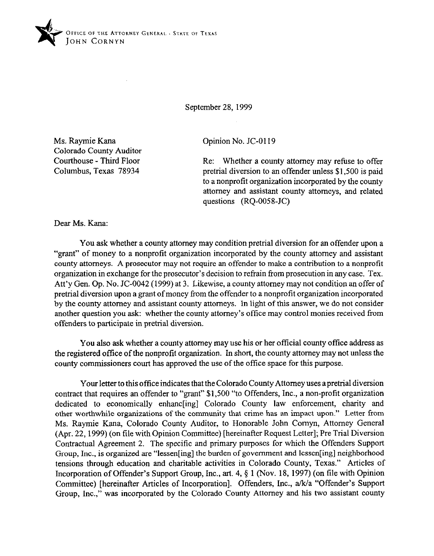

September 28, 1999

Ms. Raymie Kana Colorado County Auditor Courthouse - Third Floor Columbus. Texas 78934

Opinion No. JC-0119

Re: Whether a county attorney may refuse to offer pretrial diversion to an offender unless \$1,500 is paid to a nonprofit organization incorporated by the county attorney and assistant county attorneys, and related questions (RQ-OOSS-JC)

Dear Ms. Kana:

You ask whether a county attorney may condition pretrial diversion for an offender upon a "grant" of money to a nonprofit organization incorporated by the county attorney and assistant county attorneys. A prosecutor may not require an offender to make a contribution to a nonprofit organization in exchange for the prosecutor's decision to refrain from prosecution in any case. Tex. Att'y Gen. Op. No. JC-0042 (1999) at 3. Likewise, a county attorney may not condition an offer of pretrial diversion upon a grant of money from the offender to a nonprofit organization incorporated by the county attorney and assistant county attorneys. In light of this answer, we do not consider another question you ask: whether the county attorney's office may control monies received from offenders to participate in pretrial diversion.

You also ask whether a county attorney may use his or her official county office address as the registered offrice of the nonprofit organization. In short, the county attorney may not unless the county commissioners court has approved the use of the office space for this purpose.

Your letter to this office indicates that the Colorado County Attorney uses a pretrial diversion contract that requires an offender to "grant" \$1,500 "to Offenders, Inc., a non-profit organization dedicated to economically enhanc[ing] Colorado County law enforcement, charity and other worthwhile organizations of the community that crime has an impact upon." Letter from Ms. Raymie Kana, Colorado County Auditor, to Honorable John Comyn, Attorney General (Apr. 22,1999) (on tile with Opinion Committee) [hereinafter Request Letter]; Pre Trial Diversion Contractual Agreement 2. The specific and primary purposes for which the Offenders Support Group, Inc., is organized are "lessen[ing] the burden of government and lessen[ing] neighborhood tensions through education and charitable activities in Colorado County, Texas." Articles of Incorporation of Offender's Support Group, Inc., art. 4, 9 1 (Nov. 18, 1997) (on file with Opinion Committee) [hereinafter Articles of Incorporation]. Offenders, Inc., a/k/a "Offender's Support Group, Inc.," was incorporated by the Colorado County Attorney and his two assistant county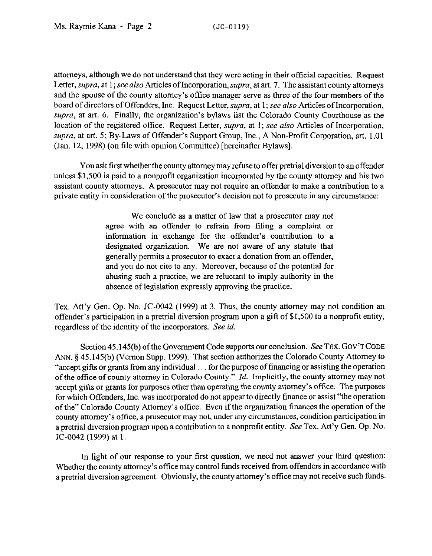attorneys, although we do not understand that they were acting in their official capacities. Request Letter, supra, at 1; see also Articles of Incorporation, supra, at art. 7. The assistant county attorneys and the spouse of the county attorney's office manager serve as three of the four members of the board of directors of Offenders, Inc. Request Letter, supra, at 1; see also Articles of Incorporation, supra, at art. 6. Finally, the organization's bylaws list the Colorado County Courthouse as the location of the registered office. Request Letter, *supra*, at 1; see also Articles of Incorporation, *supra,* at art. 5; By-Laws of Offender's Support Group, Inc., A Non-Profit Corporation, art. 1.01 (Jan. 12, 1998) (on tile with opinion Committee) [hereinafter Bylaws].

You ask first whether the county attorney may refuse to offer pretrial diversion to an offender unless \$1,500 is paid to a nonprofit organization incorporated by the county attorney and his two assistant county attorneys. A prosecutor may not require an offender to make a contribution to a private entity in consideration of the prosecutor's decision not to prosecute in any circumstance:

> We conclude as a matter of law that a prosecutor may not agree with an offender to refrain from tiling a complaint or information in exchange for the offender's contribution to a designated organization. We are not aware of any statute that generally permits a prosecutor to exact a donation from an offender, and you do not cite to any. Moreover, because of the potential for abusing such a practice, we are reluctant to imply authority in the absence of legislation expressly approving the practice.

Tex. Att'y Gen. Gp. No. JC-0042 (1999) at 3. Thus, the county attorney may not condition an offender's participation in a pretrial diversion program upon a gift of \$1,500 to a nonprofit entity, regardless of the identity of the incorporators. See id.

Section 45.145(b) of the Government Code supports our conclusion. See TEX. GOV'T CODE ANN. § 45.145(b) (Vernon Supp. 1999). That section authorizes the Colorado County Attorney to "accept gifts or grants from any individual. . for the purpose of financing or assisting the operation of the office of county attorney in Colorado County." *Id.* Implicitly, the county attorney may not accept gifts or grants for purposes other than operating the county attorney's office. The purposes for which Offenders, Inc. was incorporated do not appear to directly finance or assist "the operation of the" Colorado County Attorney's office. Even if the organization finances the operation of the county attorney's office, a prosecutor may not, under any circumstances, condition participation in a pretrial diversion program upon a contribution to a nonprofit entity. See Tex. Att'y Gen. Op. No. **X-0042 (1999)** at 1.

In light of our response to your first question, we need not answer your third question: Whether the county attorney's office may control funds received from offenders in accordance with a pretrial diversion agreement. Obviously, the county attorney's office may not receive such funds.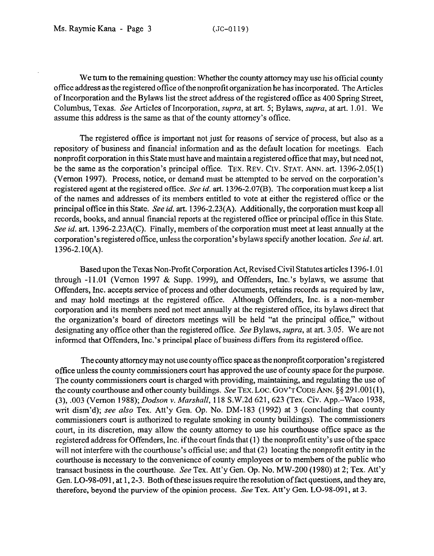We turn to the remaining question: Whether the county attorney may use his official county office address as the registered office of the nonprofit organization he has incorporated. The Articles of Incorporation and the Bylaws list the street address of the registered office as 400 Spring Street, Columbus, Texas. See Articles of Incorporation, supra, at art. 5; Bylaws, supra, at art. 1.01. We assume this address is the same as that of the county attorney's office.

The registered office is important not just for reasons of service of process, but also as a repository of business and financial information and as the default location for meetings. Each nonprofit corporation in this State must have and maintain a registered office that may, but need not, be the same as the corporation's principal office. **TEX. REV. Crv. STAT. ANN.** art. 1396-2.05(l) (Vernon 1997). Process, notice, or demand must be attempted to be served on the corporation's registered agent at the registered office. See *id.* art. 1396-2.07(B). The corporation must keep a list of the names and addresses of its members entitled to vote at either the registered office or the principal offtce in this State. See *id.* art. 1396-2.23(A). Additionally, the corporation must keep all records, books, and annual financial reports at the registered office or principal office in this State. See *id.* art. 1396-2.23A(C). Finally, members of the corporation must meet at least annually at the corporation's registered office, unless the corporation's bylaws specify another location. See *id. art.*  1396-2.10(A).

Based upon the Texas Non-Profit Corporation Act, Revised Civil Statutes articles 1396-l .Ol through -11.01 (Vernon 1997 & Supp. 1999), and Offenders, Inc.'s bylaws, we assume that Offenders, Inc. accepts service of process and other documents, retains records as required by law, and may hold meetings at the registered office. Although Offenders, Inc. is a non-member corporation and its members need not meet annually at the registered office, its bylaws direct that the organization's board of directors meetings will be held "at the principal office," without designating any office other than the registered office. See Bylaws, *supra*, at art. 3.05. We are not informed that Offenders, Inc.'s principal place of business differs from its registered office.

The county attorney may not use county offtce space as the nonprofit corporation's registered office unless the county commissioners court has approved the use of county space for the purpose. The county commissioners court is charged with providing, maintaining, and regulating the use of the county courthouse and other county buildings. See TEX. LOC. GOV'T CODE ANN. § \$291.001(1), (3), ,003 (Vernon 1988); *Dodson* Y. *Marshall,* 118 S.W.2d 621,623 (Tex. Civ. App.-Waco 1938, writ dism'd); see also Tex. Att'y Gen. Op. No. DM-183 (1992) at 3 (concluding that county commissioners court is authorized to regulate smoking in county buildings). The commissioners court, in its discretion, may allow the county attorney to use his courthouse office space as the registered address for Offenders, Inc. ifthe court finds that (1) the nonprofit entity's use ofthe space will not interfere with the courthouse's official use; and that (2) locating the nonprofit entity in the courthouse is necessary to the convenience of county employees or to members of the public who transact business in the courthouse. See Tex. Att'y Gen. Gp. No. MW-200 (1980) at 2; Tex. Att'y Gen. LO-98-091, at 1, 2-3. Both of these issues require the resolution of fact questions, and they are, therefore, beyond the purview of the opinion process. See Tex. Att'y Gen. LO-98-091, at 3.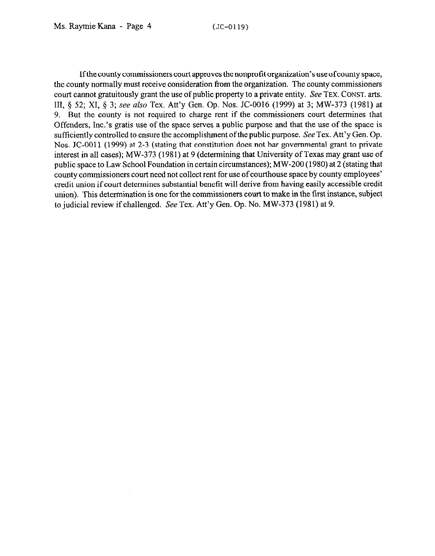Ifthe county commissioners court approves the nonprofit organization's use of county space, the county normally must receive consideration from the organization. The county commissioners court cannot gratuitously grant the use of public property to a private entity. See **TEX. CONST. arts.**  III, 5 52; XI, 5 3; see also Tex. Att'y Gen. Op. Nos. JC-0016 (1999) at 3; MW-373 (1981) at 9. But the county is not required to charge rent if the commissioners court determines that Offenders, Inc.'s gratis use of the space serves a public purpose and that the use of the space is sufficiently controlled to ensure the accomplishment of the public purpose. See Tex. Att'y Gen. Op. Nos. JC-0011 (1999) at 2-3 (stating that constitution does not bar governmental grant to private interest in all cases); MW-373 (1981) at 9 (determining that University of Texas may grant use of public space to Law School Foundation in certain circumstances); MW-200 (1980) at 2 (stating that county commissioners court need not collect rent for use of courthouse space by county employees' credit union if court determines substantial benefit will derive from having easily accessible credit union). This determination is one for the commissioners court to make in the first instance, subject to judicial review if challenged. See Tex. Att'y Gen. Op. No. MW-373 (1981) at 9.